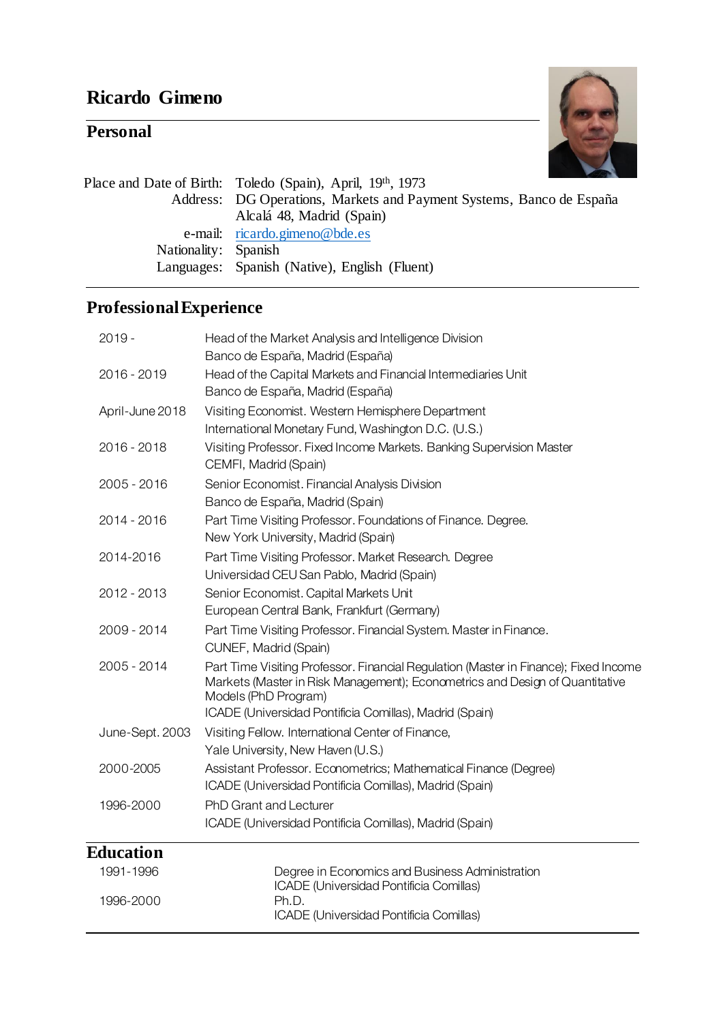# **Ricardo Gimeno**

# **Personal**



| Address: DG Operations, Markets and Payment Systems, Banco de España |
|----------------------------------------------------------------------|
|                                                                      |
|                                                                      |
|                                                                      |
|                                                                      |
|                                                                      |

# **ProfessionalExperience**

| $2019 -$<br>Head of the Market Analysis and Intelligence Division<br>Banco de España, Madrid (España)<br>2016 - 2019<br>Head of the Capital Markets and Financial Intermediaries Unit<br>Banco de España, Madrid (España)<br>Visiting Economist. Western Hemisphere Department<br>April-June 2018<br>International Monetary Fund, Washington D.C. (U.S.)<br>Visiting Professor. Fixed Income Markets. Banking Supervision Master<br>2016 - 2018<br>CEMFI, Madrid (Spain)<br>Senior Economist. Financial Analysis Division<br>2005 - 2016<br>Banco de España, Madrid (Spain)<br>2014 - 2016<br>Part Time Visiting Professor. Foundations of Finance. Degree.<br>New York University, Madrid (Spain)<br>Part Time Visiting Professor. Market Research. Degree<br>2014-2016<br>Universidad CEU San Pablo, Madrid (Spain)<br>Senior Economist. Capital Markets Unit<br>2012 - 2013<br>European Central Bank, Frankfurt (Germany)<br>Part Time Visiting Professor. Financial System. Master in Finance.<br>2009 - 2014<br>CUNEF, Madrid (Spain)<br>2005 - 2014<br>Markets (Master in Risk Management); Econometrics and Design of Quantitative<br>Models (PhD Program)<br>ICADE (Universidad Pontificia Comillas), Madrid (Spain)<br>June-Sept. 2003<br>Visiting Fellow. International Center of Finance,<br>Yale University, New Haven (U.S.)<br>Assistant Professor. Econometrics; Mathematical Finance (Degree)<br>2000-2005<br>ICADE (Universidad Pontificia Comillas), Madrid (Spain)<br><b>PhD Grant and Lecturer</b><br>1996-2000<br>ICADE (Universidad Pontificia Comillas), Madrid (Spain)<br><b>Education</b><br>1991-1996<br>Degree in Economics and Business Administration<br>ICADE (Universidad Pontificia Comillas)<br>Ph.D.<br>1996-2000<br>ICADE (Universidad Pontificia Comillas) |                                                                                      |
|------------------------------------------------------------------------------------------------------------------------------------------------------------------------------------------------------------------------------------------------------------------------------------------------------------------------------------------------------------------------------------------------------------------------------------------------------------------------------------------------------------------------------------------------------------------------------------------------------------------------------------------------------------------------------------------------------------------------------------------------------------------------------------------------------------------------------------------------------------------------------------------------------------------------------------------------------------------------------------------------------------------------------------------------------------------------------------------------------------------------------------------------------------------------------------------------------------------------------------------------------------------------------------------------------------------------------------------------------------------------------------------------------------------------------------------------------------------------------------------------------------------------------------------------------------------------------------------------------------------------------------------------------------------------------------------------------------------------------------------------------------------------------------------------|--------------------------------------------------------------------------------------|
|                                                                                                                                                                                                                                                                                                                                                                                                                                                                                                                                                                                                                                                                                                                                                                                                                                                                                                                                                                                                                                                                                                                                                                                                                                                                                                                                                                                                                                                                                                                                                                                                                                                                                                                                                                                                |                                                                                      |
|                                                                                                                                                                                                                                                                                                                                                                                                                                                                                                                                                                                                                                                                                                                                                                                                                                                                                                                                                                                                                                                                                                                                                                                                                                                                                                                                                                                                                                                                                                                                                                                                                                                                                                                                                                                                |                                                                                      |
|                                                                                                                                                                                                                                                                                                                                                                                                                                                                                                                                                                                                                                                                                                                                                                                                                                                                                                                                                                                                                                                                                                                                                                                                                                                                                                                                                                                                                                                                                                                                                                                                                                                                                                                                                                                                |                                                                                      |
|                                                                                                                                                                                                                                                                                                                                                                                                                                                                                                                                                                                                                                                                                                                                                                                                                                                                                                                                                                                                                                                                                                                                                                                                                                                                                                                                                                                                                                                                                                                                                                                                                                                                                                                                                                                                |                                                                                      |
|                                                                                                                                                                                                                                                                                                                                                                                                                                                                                                                                                                                                                                                                                                                                                                                                                                                                                                                                                                                                                                                                                                                                                                                                                                                                                                                                                                                                                                                                                                                                                                                                                                                                                                                                                                                                |                                                                                      |
|                                                                                                                                                                                                                                                                                                                                                                                                                                                                                                                                                                                                                                                                                                                                                                                                                                                                                                                                                                                                                                                                                                                                                                                                                                                                                                                                                                                                                                                                                                                                                                                                                                                                                                                                                                                                |                                                                                      |
|                                                                                                                                                                                                                                                                                                                                                                                                                                                                                                                                                                                                                                                                                                                                                                                                                                                                                                                                                                                                                                                                                                                                                                                                                                                                                                                                                                                                                                                                                                                                                                                                                                                                                                                                                                                                |                                                                                      |
|                                                                                                                                                                                                                                                                                                                                                                                                                                                                                                                                                                                                                                                                                                                                                                                                                                                                                                                                                                                                                                                                                                                                                                                                                                                                                                                                                                                                                                                                                                                                                                                                                                                                                                                                                                                                |                                                                                      |
|                                                                                                                                                                                                                                                                                                                                                                                                                                                                                                                                                                                                                                                                                                                                                                                                                                                                                                                                                                                                                                                                                                                                                                                                                                                                                                                                                                                                                                                                                                                                                                                                                                                                                                                                                                                                |                                                                                      |
|                                                                                                                                                                                                                                                                                                                                                                                                                                                                                                                                                                                                                                                                                                                                                                                                                                                                                                                                                                                                                                                                                                                                                                                                                                                                                                                                                                                                                                                                                                                                                                                                                                                                                                                                                                                                | Part Time Visiting Professor. Financial Regulation (Master in Finance); Fixed Income |
|                                                                                                                                                                                                                                                                                                                                                                                                                                                                                                                                                                                                                                                                                                                                                                                                                                                                                                                                                                                                                                                                                                                                                                                                                                                                                                                                                                                                                                                                                                                                                                                                                                                                                                                                                                                                |                                                                                      |
|                                                                                                                                                                                                                                                                                                                                                                                                                                                                                                                                                                                                                                                                                                                                                                                                                                                                                                                                                                                                                                                                                                                                                                                                                                                                                                                                                                                                                                                                                                                                                                                                                                                                                                                                                                                                |                                                                                      |
|                                                                                                                                                                                                                                                                                                                                                                                                                                                                                                                                                                                                                                                                                                                                                                                                                                                                                                                                                                                                                                                                                                                                                                                                                                                                                                                                                                                                                                                                                                                                                                                                                                                                                                                                                                                                |                                                                                      |
|                                                                                                                                                                                                                                                                                                                                                                                                                                                                                                                                                                                                                                                                                                                                                                                                                                                                                                                                                                                                                                                                                                                                                                                                                                                                                                                                                                                                                                                                                                                                                                                                                                                                                                                                                                                                |                                                                                      |
|                                                                                                                                                                                                                                                                                                                                                                                                                                                                                                                                                                                                                                                                                                                                                                                                                                                                                                                                                                                                                                                                                                                                                                                                                                                                                                                                                                                                                                                                                                                                                                                                                                                                                                                                                                                                |                                                                                      |
|                                                                                                                                                                                                                                                                                                                                                                                                                                                                                                                                                                                                                                                                                                                                                                                                                                                                                                                                                                                                                                                                                                                                                                                                                                                                                                                                                                                                                                                                                                                                                                                                                                                                                                                                                                                                |                                                                                      |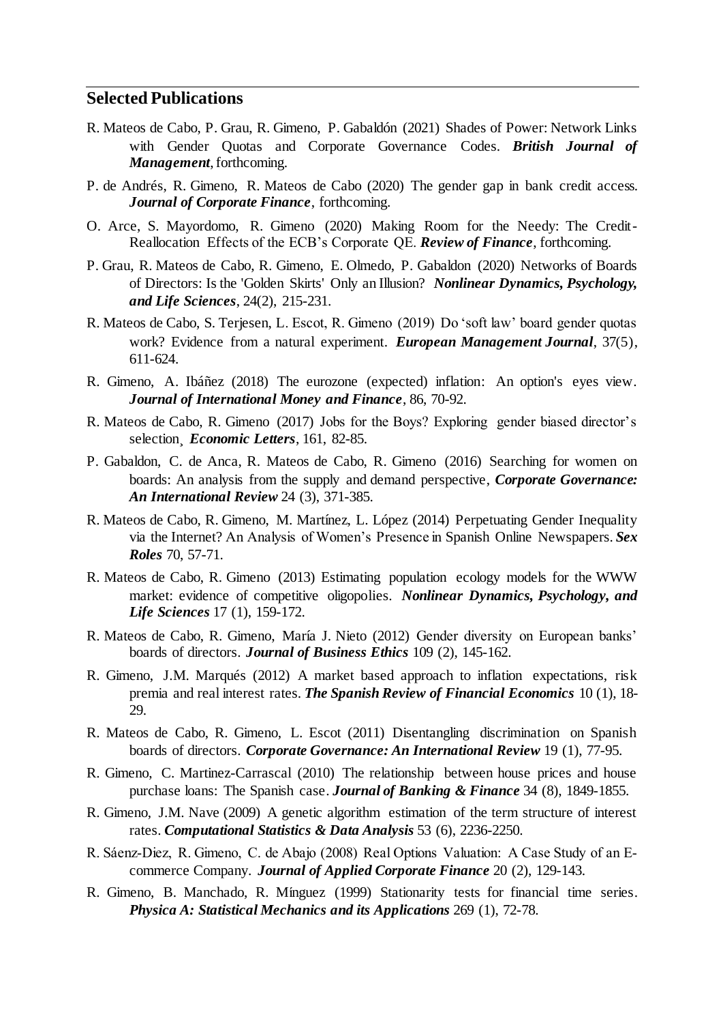#### **Selected Publications**

- R. Mateos de Cabo, P. Grau, R. Gimeno, P. Gabaldón (2021) Shades of Power: Network Links with Gender Quotas and Corporate Governance Codes. *British Journal of Management*, forthcoming.
- P. de Andrés, R. Gimeno, R. Mateos de Cabo (2020) The gender gap in bank credit access. *Journal of Corporate Finance*, forthcoming.
- O. Arce, S. Mayordomo, R. Gimeno (2020) Making Room for the Needy: The Credit-Reallocation Effects of the ECB's Corporate QE. *Review of Finance*, forthcoming.
- P. Grau, R. Mateos de Cabo, R. Gimeno, E. Olmedo, P. Gabaldon (2020) Networks of Boards of Directors: Is the 'Golden Skirts' Only an Illusion? *Nonlinear Dynamics, Psychology, and Life Sciences*, 24(2), 215-231.
- R. Mateos de Cabo, S. Terjesen, L. Escot, R. Gimeno (2019) Do 'soft law' board gender quotas work? Evidence from a natural experiment. *European Management Journal*, 37(5), 611-624.
- R. Gimeno, A. Ibáñez (2018) The eurozone (expected) inflation: An option's eyes view. *Journal of International Money and Finance*, 86, 70-92.
- R. Mateos de Cabo, R. Gimeno (2017) Jobs for the Boys? Exploring gender biased director's selection¸ *Economic Letters*, 161, 82-85.
- P. Gabaldon, C. de Anca, R. Mateos de Cabo, R. Gimeno (2016) Searching for women on boards: An analysis from the supply and demand perspective, *Corporate Governance: An International Review* 24 (3), 371-385.
- R. Mateos de Cabo, R. Gimeno, M. Martínez, L. López (2014) Perpetuating Gender Inequality via the Internet? An Analysis of Women's Presence in Spanish Online Newspapers. *Sex Roles* 70, 57-71.
- R. Mateos de Cabo, R. Gimeno (2013) Estimating population ecology models for the WWW market: evidence of competitive oligopolies. *Nonlinear Dynamics, Psychology, and Life Sciences* 17 (1), 159-172.
- R. Mateos de Cabo, R. Gimeno, María J. Nieto (2012) Gender diversity on European banks' boards of directors. *Journal of Business Ethics* 109 (2), 145-162.
- R. Gimeno, J.M. Marqués (2012) A market based approach to inflation expectations, risk premia and real interest rates. *The Spanish Review of Financial Economics* 10 (1), 18- 29.
- R. Mateos de Cabo, R. Gimeno, L. Escot (2011) Disentangling discrimination on Spanish boards of directors. *Corporate Governance: An International Review* 19 (1), 77-95.
- R. Gimeno, C. Martinez-Carrascal (2010) The relationship between house prices and house purchase loans: The Spanish case. *Journal of Banking & Finance* 34 (8), 1849-1855.
- R. Gimeno, J.M. Nave (2009) A genetic algorithm estimation of the term structure of interest rates. *Computational Statistics & Data Analysis* 53 (6), 2236-2250.
- R. Sáenz‐Diez, R. Gimeno, C. de Abajo (2008) Real Options Valuation: A Case Study of an E‐ commerce Company. *Journal of Applied Corporate Finance* 20 (2), 129-143.
- R. Gimeno, B. Manchado, R. Mínguez (1999) Stationarity tests for financial time series. *Physica A: Statistical Mechanics and its Applications* 269 (1), 72-78.